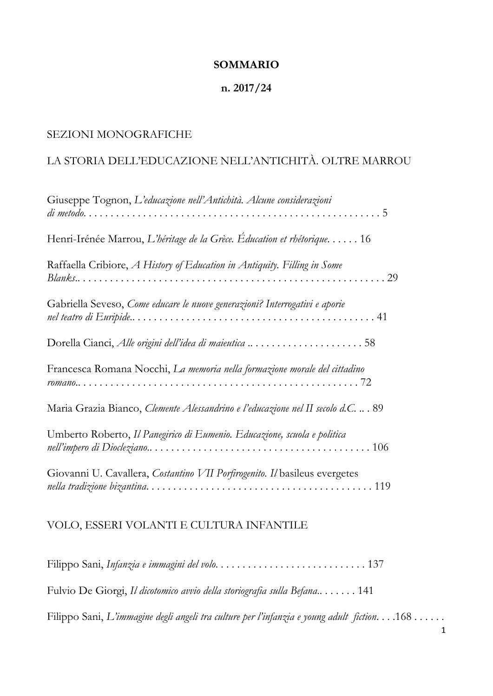### **SOMMARIO**

#### **n. 2017/24**

## SEZIONI MONOGRAFICHE

## LA STORIA DELL'EDUCAZIONE NELL'ANTICHITÀ. OLTRE MARROU

| Giuseppe Tognon, L'educazione nell'Antichità. Alcune considerazioni                |
|------------------------------------------------------------------------------------|
| Henri-Irénée Marrou, L'héritage de la Grèce. Éducation et rhétorique 16            |
| Raffaella Cribiore, A History of Education in Antiquity. Filling in Some           |
| Gabriella Seveso, Come educare le nuove generazioni? Interrogativi e aporie        |
| Dorella Cianci, Alle origini dell'idea di maieutica 58                             |
| Francesca Romana Nocchi, La memoria nella formazione morale del cittadino          |
| Maria Grazia Bianco, Clemente Alessandrino e l'educazione nel II secolo d.C.  . 89 |
| Umberto Roberto, Il Panegirico di Eumenio. Educazione, scuola e politica           |
| Giovanni U. Cavallera, Costantino VII Porfirogenito. Il basileus evergetes         |

### VOLO, ESSERI VOLANTI E CULTURA INFANTILE

Filippo Sani, *Infanzia e immagini del volo*. . . . . . . . . . . . . . . . . . . . . . . . . . . . 137 Fulvio De Giorgi, *Il dicotomico avvio della storiografia sulla Befana*.. . . . . . . 141 Filippo Sani, *L'immagine degli angeli tra culture per l'infanzia e young adult fiction*. . . .168 . . . . . .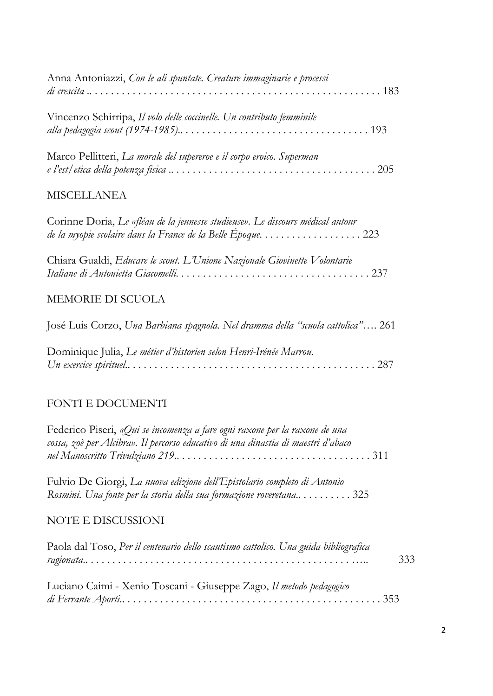| Anna Antoniazzi, Con le ali spuntate. Creature immaginarie e processi |  |
|-----------------------------------------------------------------------|--|
| Vincenzo Schirripa, Il volo delle coccinelle. Un contributo femminile |  |
| Marco Pellitteri, La morale del supereroe e il corpo eroico. Superman |  |

## MISCELLANEA

| Corinne Doria, Le «fléau de la jeunesse studieuse». Le discours médical autour |  |
|--------------------------------------------------------------------------------|--|
| de la myopie scolaire dans la France de la Belle Epoque223                     |  |

| Chiara Gualdi, Educare le scout. L'Unione Nazionale Giovinette Volontarie |  |
|---------------------------------------------------------------------------|--|
|                                                                           |  |

## MEMORIE DI SCUOLA

Dominique Julia, *Le métier d'historien selon Henri-Irénée Marrou. Un exercice spirituel*.. . . . . . . . . . . . . . . . . . . . . . . . . . . . . . . . . . . . . . . . . . . . . . 287

# FONTI E DOCUMENTI

| Federico Piseri, «Qui se incomenza a fare ogni raxone per la raxone de una<br>cossa, zoè per Alcibra». Il percorso educativo di una dinastia di maestri d'abaco |     |
|-----------------------------------------------------------------------------------------------------------------------------------------------------------------|-----|
|                                                                                                                                                                 |     |
| Fulvio De Giorgi, La nuova edizione dell'Epistolario completo di Antonio                                                                                        |     |
| Rosmini. Una fonte per la storia della sua formazione roveretana 325                                                                                            |     |
| <b>NOTE E DISCUSSIONI</b>                                                                                                                                       |     |
| Paola dal Toso, Per il centenario dello scautismo cattolico. Una guida bibliografica                                                                            |     |
|                                                                                                                                                                 | 333 |
| Luciano Caimi - Xenio Toscani - Giuseppe Zago, Il metodo pedagogico                                                                                             |     |
|                                                                                                                                                                 |     |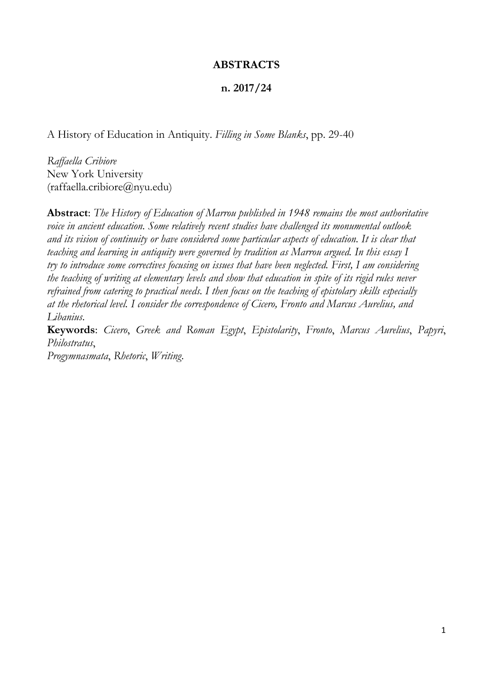### **ABSTRACTS**

#### **n. 2017/24**

A History of Education in Antiquity. *Filling in Some Blanks*, pp. 29-40

*Raffaella Cribiore*  New York University (raffaella.cribiore@nyu.edu)

**Abstract**: *The History of Education of Marrou published in 1948 remains the most authoritative voice in ancient education. Some relatively recent studies have challenged its monumental outlook and its vision of continuity or have considered some particular aspects of education. It is clear that teaching and learning in antiquity were governed by tradition as Marrou argued. In this essay I try to introduce some correctives focusing on issues that have been neglected. First, I am considering the teaching of writing at elementary levels and show that education in spite of its rigid rules never refrained from catering to practical needs. I then focus on the teaching of epistolary skills especially at the rhetorical level. I consider the correspondence of Cicero, Fronto and Marcus Aurelius, and Libanius*.

**Keywords**: *Cicero*, *Greek and Roman Egypt*, *Epistolarity*, *Fronto*, *Marcus Aurelius*, *Papyri*, *Philostratus*, *Progymnasmata*, *Rhetoric*, *Writing*.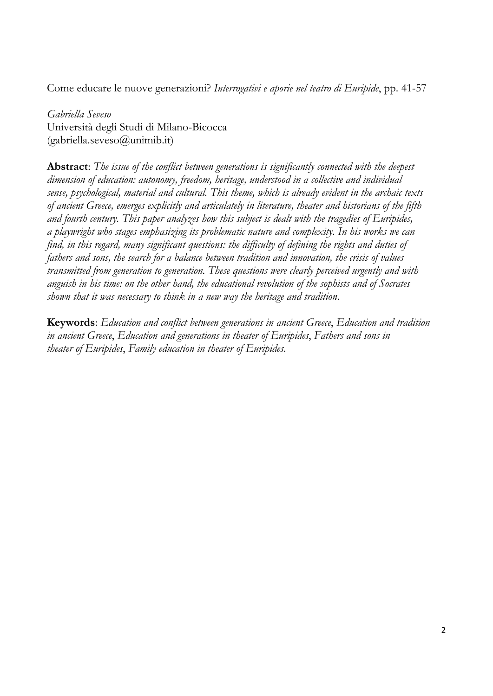Come educare le nuove generazioni? *Interrogativi e aporie nel teatro di Euripide*, pp. 41-57

*Gabriella Seveso*  Università degli Studi di Milano-Bicocca  $(gabriella.seveso@unimib.it)$ 

**Abstract**: *The issue of the conflict between generations is significantly connected with the deepest dimension of education: autonomy, freedom, heritage, understood in a collective and individual sense, psychological, material and cultural. This theme, which is already evident in the archaic texts of ancient Greece, emerges explicitly and articulately in literature, theater and historians of the fifth and fourth century. This paper analyzes how this subject is dealt with the tragedies of Euripides, a playwright who stages emphasizing its problematic nature and complexity. In his works we can find, in this regard, many significant questions: the difficulty of defining the rights and duties of fathers and sons, the search for a balance between tradition and innovation, the crisis of values transmitted from generation to generation. These questions were clearly perceived urgently and with anguish in his time: on the other hand, the educational revolution of the sophists and of Socrates shown that it was necessary to think in a new way the heritage and tradition*.

**Keywords**: *Education and conflict between generations in ancient Greece*, *Education and tradition in ancient Greece*, *Education and generations in theater of Euripides*, *Fathers and sons in theater of Euripides*, *Family education in theater of Euripides*.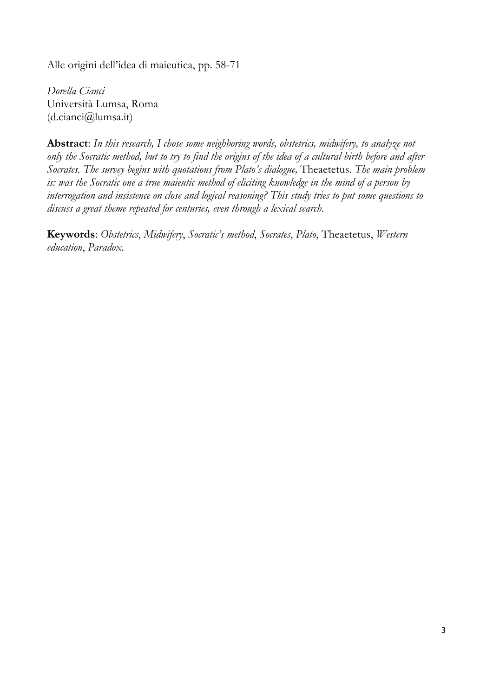Alle origini dell'idea di maieutica, pp. 58-71

*Dorella Cianci*  Università Lumsa, Roma (d.cianci@lumsa.it)

**Abstract**: *In this research, I chose some neighboring words, obstetrics, midwifery, to analyze not only the Socratic method, but to try to find the origins of the idea of a cultural birth before and after Socrates. The survey begins with quotations from Plato's dialogue,* Theaetetus. *The main problem is: was the Socratic one a true maieutic method of eliciting knowledge in the mind of a person by interrogation and insistence on close and logical reasoning? This study tries to put some questions to discuss a great theme repeated for centuries, even through a lexical search*.

**Keywords**: *Obstetrics*, *Midwifery*, *Socratic's method*, *Socrates*, *Plato*, Theaetetus, *Western education*, *Paradox*.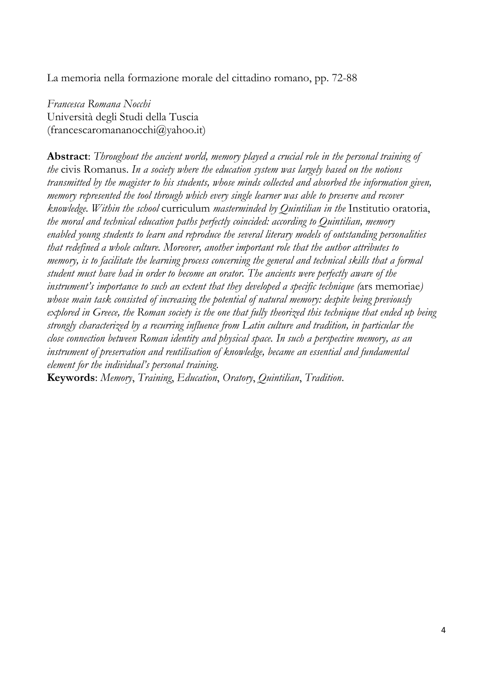La memoria nella formazione morale del cittadino romano, pp. 72-88

*Francesca Romana Nocchi*  Università degli Studi della Tuscia (francescaromananocchi@yahoo.it)

**Abstract**: *Throughout the ancient world, memory played a crucial role in the personal training of the* civis Romanus. *In a society where the education system was largely based on the notions transmitted by the magister to his students, whose minds collected and absorbed the information given, memory represented the tool through which every single learner was able to preserve and recover knowledge. Within the school* curriculum *masterminded by Quintilian in the* Institutio oratoria, *the moral and technical education paths perfectly coincided: according to Quintilian, memory enabled young students to learn and reproduce the several literary models of outstanding personalities that redefined a whole culture. Moreover, another important role that the author attributes to memory, is to facilitate the learning process concerning the general and technical skills that a formal student must have had in order to become an orator. The ancients were perfectly aware of the instrument's importance to such an extent that they developed a specific technique (*ars memoriae*) whose main task consisted of increasing the potential of natural memory: despite being previously explored in Greece, the Roman society is the one that fully theorized this technique that ended up being strongly characterized by a recurring influence from Latin culture and tradition, in particular the close connection between Roman identity and physical space. In such a perspective memory, as an instrument of preservation and reutilisation of knowledge, became an essential and fundamental element for the individual's personal training*.

**Keywords**: *Memory*, *Training*, *Education*, *Oratory*, *Quintilian*, *Tradition*.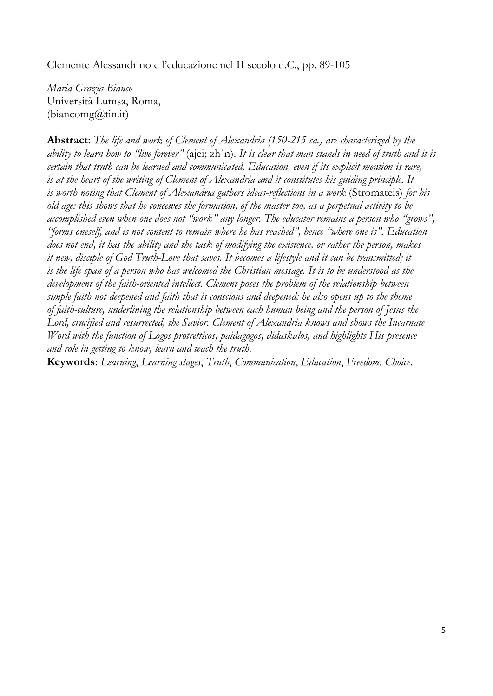Clemente Alessandrino e l'educazione nel II secolo d.C., pp. 89-105

*Maria Grazia Bianco*  Università Lumsa, Roma,  $(biancomp@tini.t)$ 

**Abstract**: *The life and work of Clement of Alexandria (150-215 ca.) are characterized by the ability to learn how to "live forever"* (ajei; zh`n). *It is clear that man stands in need of truth and it is certain that truth can be learned and communicated. Education, even if its explicit mention is rare, is at the heart of the writing of Clement of Alexandria and it constitutes his guiding principle. It is worth noting that Clement of Alexandria gathers ideas-reflections in a work* (Stromateis) *for his old age: this shows that he conceives the formation, of the master too, as a perpetual activity to be accomplished even when one does not "work" any longer. The educator remains a person who "grows", "forms oneself, and is not content to remain where he has reached", hence "where one is". Education does not end, it has the ability and the task of modifying the existence, or rather the person, makes it new, disciple of God Truth-Love that saves. It becomes a lifestyle and it can be transmitted; it is the life span of a person who has welcomed the Christian message. It is to be understood as the development of the faith-oriented intellect. Clement poses the problem of the relationship between simple faith not deepened and faith that is conscious and deepened; he also opens up to the theme of faith-culture, underlining the relationship between each human being and the person of Jesus the Lord, crucified and resurrected, the Savior. Clement of Alexandria knows and shows the Incarnate Word with the function of Logos protretticos, paidagogos, didaskalos, and highlights His presence and role in getting to know, learn and teach the truth*.

**Keywords**: *Learning*, *Learning stages*, *Truth*, *Communication*, *Education*, *Freedom*, *Choice*.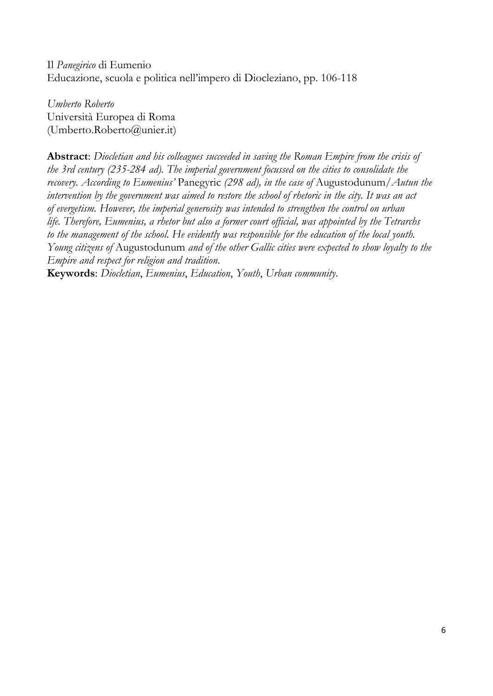Il *Panegirico* di Eumenio Educazione, scuola e politica nell'impero di Diocleziano, pp. 106-118

*Umberto Roberto*  Università Europea di Roma (Umberto.Roberto@unier.it)

**Abstract**: *Diocletian and his colleagues succeeded in saving the Roman Empire from the crisis of the 3rd century (235-284 ad). The imperial government focussed on the cities to consolidate the recovery. According to Eumenius'* Panegyric *(298 ad), in the case of* Augustodunum/*Autun the intervention by the government was aimed to restore the school of rhetoric in the city. It was an act of evergetism. However, the imperial generosity was intended to strengthen the control on urban life. Therefore, Eumenius, a rhetor but also a former court official, was appointed by the Tetrarchs to the management of the school. He evidently was responsible for the education of the local youth. Young citizens of* Augustodunum *and of the other Gallic cities were expected to show loyalty to the Empire and respect for religion and tradition*.

**Keywords**: *Diocletian*, *Eumenius*, *Education*, *Youth*, *Urban community*.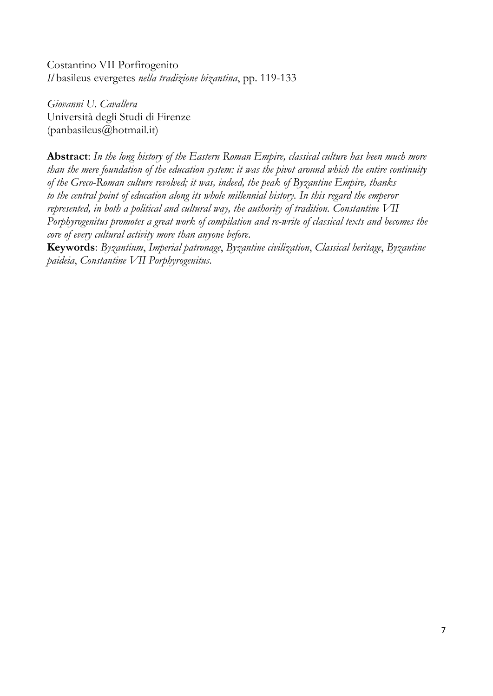Costantino VII Porfirogenito *Il* basileus evergetes *nella tradizione bizantina*, pp. 119-133

*Giovanni U. Cavallera*  Università degli Studi di Firenze (panbasileus@hotmail.it)

**Abstract**: *In the long history of the Eastern Roman Empire, classical culture has been much more than the mere foundation of the education system: it was the pivot around which the entire continuity of the Greco-Roman culture revolved; it was, indeed, the peak of Byzantine Empire, thanks to the central point of education along its whole millennial history. In this regard the emperor represented, in both a political and cultural way, the authority of tradition. Constantine VII Porphyrogenitus promotes a great work of compilation and re-write of classical texts and becomes the core of every cultural activity more than anyone before*.

**Keywords**: *Byzantium*, *Imperial patronage*, *Byzantine civilization*, *Classical heritage*, *Byzantine paideia*, *Constantine VII Porphyrogenitus*.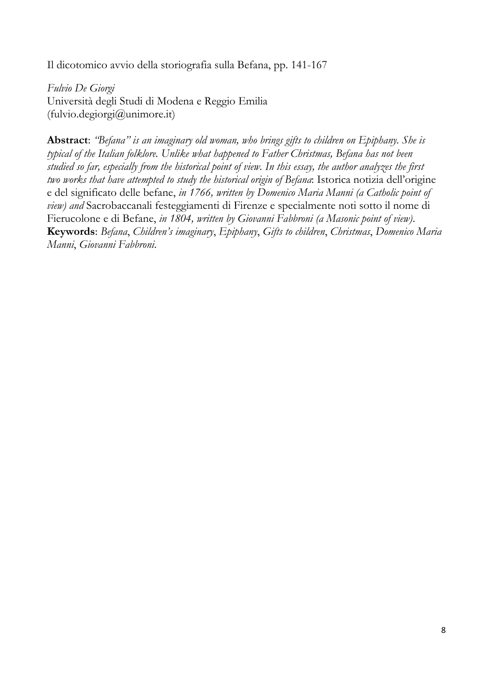Il dicotomico avvio della storiografia sulla Befana, pp. 141-167

*Fulvio De Giorgi*  Università degli Studi di Modena e Reggio Emilia (fulvio.degiorgi@unimore.it)

**Abstract**: *"Befana" is an imaginary old woman, who brings gifts to children on Epiphany. She is typical of the Italian folklore. Unlike what happened to Father Christmas, Befana has not been studied so far, especially from the historical point of view. In this essay, the author analyzes the first two works that have attempted to study the historical origin of Befana*: Istorica notizia dell'origine e del significato delle befane, *in 1766, written by Domenico Maria Manni (a Catholic point of view) and* Sacrobaccanali festeggiamenti di Firenze e specialmente noti sotto il nome di Fierucolone e di Befane, *in 1804, written by Giovanni Fabbroni (a Masonic point of view)*. **Keywords**: *Befana*, *Children's imaginary*, *Epiphany*, *Gifts to children*, *Christmas*, *Domenico Maria Manni*, *Giovanni Fabbroni*.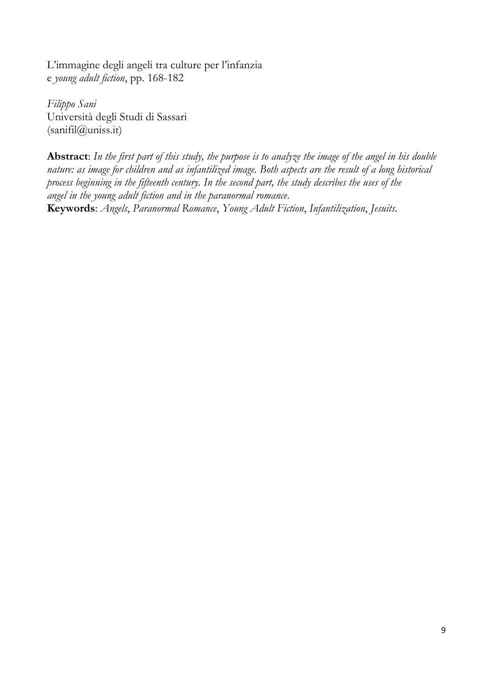L'immagine degli angeli tra culture per l'infanzia e *young adult fiction*, pp. 168-182

*Filippo Sani*  Università degli Studi di Sassari (sanifil@uniss.it)

**Abstract**: *In the first part of this study, the purpose is to analyze the image of the angel in his double nature: as image for children and as infantilized image. Both aspects are the result of a long historical process beginning in the fifteenth century. In the second part, the study describes the uses of the angel in the young adult fiction and in the paranormal romance*. **Keywords**: *Angels*, *Paranormal Romance*, *Young Adult Fiction*, *Infantilization*, *Jesuits*.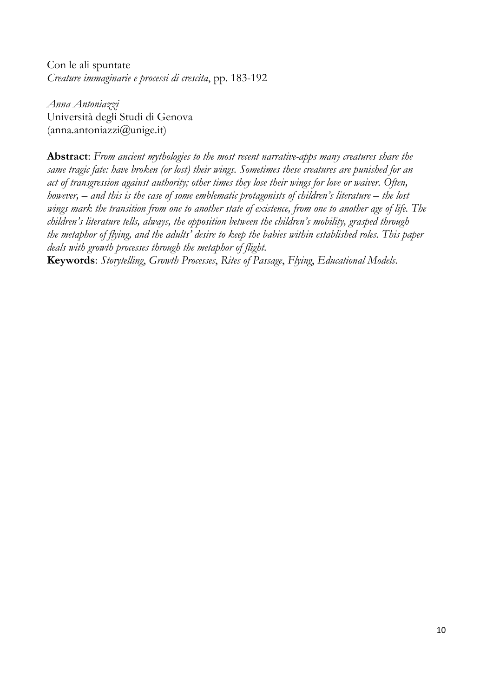Con le ali spuntate *Creature immaginarie e processi di crescita*, pp. 183-192

*Anna Antoniazzi*  Università degli Studi di Genova  $(anna.antoniazzi@unige.it)$ 

**Abstract**: *From ancient mythologies to the most recent narrative-apps many creatures share the same tragic fate: have broken (or lost) their wings. Sometimes these creatures are punished for an act of transgression against authority; other times they lose their wings for love or waiver. Often, however, – and this is the case of some emblematic protagonists of children's literature – the lost wings mark the transition from one to another state of existence, from one to another age of life. The children's literature tells, always, the opposition between the children's mobility, grasped through the metaphor of flying, and the adults' desire to keep the babies within established roles. This paper deals with growth processes through the metaphor of flight*.

**Keywords**: *Storytelling*, *Growth Processes*, *Rites of Passage*, *Flying*, *Educational Models*.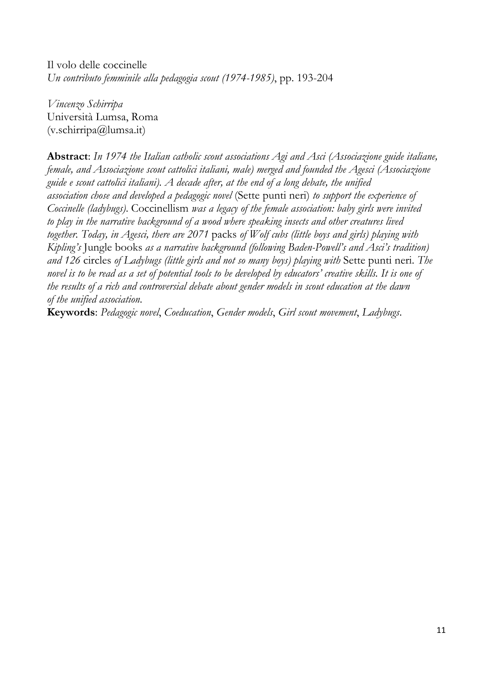Il volo delle coccinelle *Un contributo femminile alla pedagogia scout (1974-1985)*, pp. 193-204

*Vincenzo Schirripa*  Università Lumsa, Roma (v.schirripa@lumsa.it)

**Abstract**: *In 1974 the Italian catholic scout associations Agi and Asci (Associazione guide italiane, female, and Associazione scout cattolici italiani, male) merged and founded the Agesci (Associazione guide e scout cattolici italiani). A decade after, at the end of a long debate, the unified association chose and developed a pedagogic novel* (Sette punti neri) *to support the experience of Coccinelle (ladybugs)*. Coccinellism *was a legacy of the female association: baby girls were invited to play in the narrative background of a wood where speaking insects and other creatures lived together. Today, in Agesci, there are 2071* packs *of Wolf cubs (little boys and girls) playing with Kipling's* Jungle books *as a narrative background (following Baden-Powell's and Asci's tradition) and 126* circles *of Ladybugs (little girls and not so many boys) playing with* Sette punti neri. *The novel is to be read as a set of potential tools to be developed by educators' creative skills. It is one of the results of a rich and controversial debate about gender models in scout education at the dawn of the unified association*.

**Keywords**: *Pedagogic novel*, *Coeducation*, *Gender models*, *Girl scout movement*, *Ladybugs*.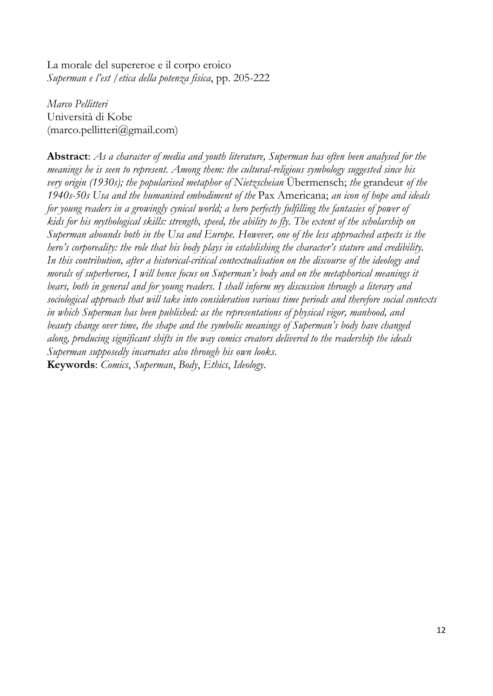La morale del supereroe e il corpo eroico *Superman e l'est* /*etica della potenza fisica*, pp. 205-222

*Marco Pellitteri*  Università di Kobe (marco.pellitteri@gmail.com)

**Abstract**: *As a character of media and youth literature, Superman has often been analysed for the meanings he is seen to represent. Among them: the cultural-religious symbology suggested since his very origin (1930s); the popularised metaphor of Nietzscheian* Übermensch; *the* grandeur *of the 1940s-50s Usa and the humanised embodiment of the* Pax Americana; *an icon of hope and ideals for young readers in a growingly cynical world; a hero perfectly fulfilling the fantasies of power of kids for his mythological skills: strength, speed, the ability to fly. The extent of the scholarship on Superman abounds both in the Usa and Europe. However, one of the less approached aspects is the hero's corporeality: the role that his body plays in establishing the character's stature and credibility. In this contribution, after a historical-critical contextualisation on the discourse of the ideology and morals of superheroes, I will hence focus on Superman's body and on the metaphorical meanings it bears, both in general and for young readers. I shall inform my discussion through a literary and sociological approach that will take into consideration various time periods and therefore social contexts in which Superman has been published: as the representations of physical vigor, manhood, and beauty change over time, the shape and the symbolic meanings of Superman's body have changed along, producing significant shifts in the way comics creators delivered to the readership the ideals Superman supposedly incarnates also through his own looks*. **Keywords**: *Comics*, *Superman*, *Body*, *Ethics*, *Ideology*.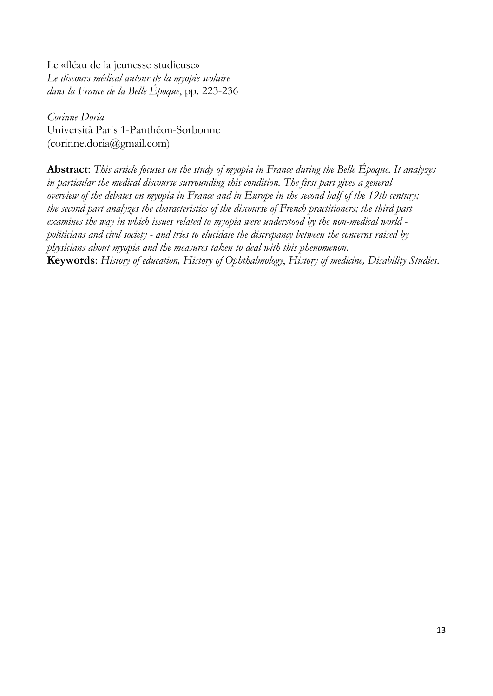Le «fléau de la jeunesse studieuse» *Le discours médical autour de la myopie scolaire dans la France de la Belle Époque*, pp. 223-236

*Corinne Doria*  Università Paris 1-Panthéon-Sorbonne (corinne.doria@gmail.com)

**Abstract**: *This article focuses on the study of myopia in France during the Belle Époque. It analyzes in particular the medical discourse surrounding this condition. The first part gives a general overview of the debates on myopia in France and in Europe in the second half of the 19th century; the second part analyzes the characteristics of the discourse of French practitioners; the third part examines the way in which issues related to myopia were understood by the non-medical world politicians and civil society - and tries to elucidate the discrepancy between the concerns raised by physicians about myopia and the measures taken to deal with this phenomenon*. **Keywords**: *History of education, History of Ophthalmology*, *History of medicine, Disability Studies*.